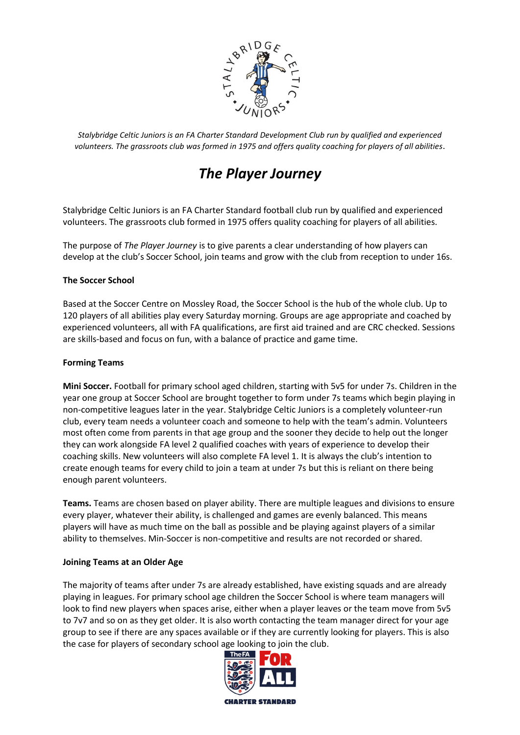

*Stalybridge Celtic Juniors is an FA Charter Standard Development Club run by qualified and experienced volunteers. The grassroots club was formed in 1975 and offers quality coaching for players of all abilities*.

# *The Player Journey*

Stalybridge Celtic Juniors is an FA Charter Standard football club run by qualified and experienced volunteers. The grassroots club formed in 1975 offers quality coaching for players of all abilities.

The purpose of *The Player Journey* is to give parents a clear understanding of how players can develop at the club's Soccer School, join teams and grow with the club from reception to under 16s.

## **The Soccer School**

Based at the Soccer Centre on Mossley Road, the Soccer School is the hub of the whole club. Up to 120 players of all abilities play every Saturday morning. Groups are age appropriate and coached by experienced volunteers, all with FA qualifications, are first aid trained and are CRC checked. Sessions are skills-based and focus on fun, with a balance of practice and game time.

## **Forming Teams**

**Mini Soccer.** Football for primary school aged children, starting with 5v5 for under 7s. Children in the year one group at Soccer School are brought together to form under 7s teams which begin playing in non-competitive leagues later in the year. Stalybridge Celtic Juniors is a completely volunteer-run club, every team needs a volunteer coach and someone to help with the team's admin. Volunteers most often come from parents in that age group and the sooner they decide to help out the longer they can work alongside FA level 2 qualified coaches with years of experience to develop their coaching skills. New volunteers will also complete FA level 1. It is always the club's intention to create enough teams for every child to join a team at under 7s but this is reliant on there being enough parent volunteers.

**Teams.** Teams are chosen based on player ability. There are multiple leagues and divisions to ensure every player, whatever their ability, is challenged and games are evenly balanced. This means players will have as much time on the ball as possible and be playing against players of a similar ability to themselves. Min-Soccer is non-competitive and results are not recorded or shared.

## **Joining Teams at an Older Age**

The majority of teams after under 7s are already established, have existing squads and are already playing in leagues. For primary school age children the Soccer School is where team managers will look to find new players when spaces arise, either when a player leaves or the team move from 5v5 to 7v7 and so on as they get older. It is also worth contacting the team manager direct for your age group to see if there are any spaces available or if they are currently looking for players. This is also the case for players of secondary school age looking to join the club.